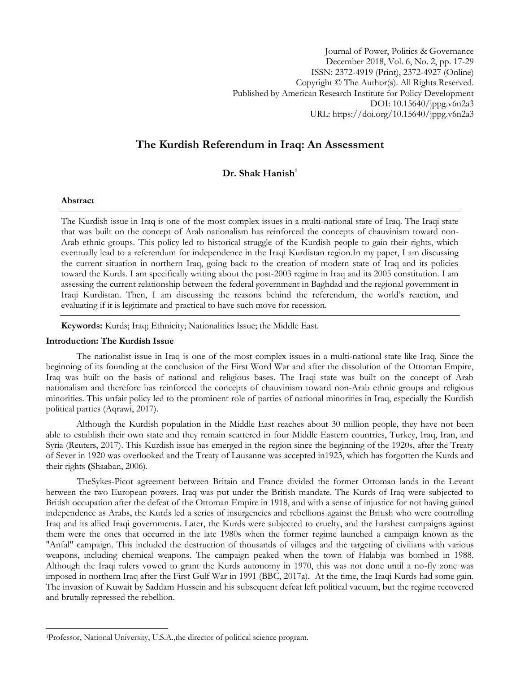Journal of Power, Politics & Governance December 2018, Vol. 6, No. 2, pp. 17-29 ISSN: 2372-4919 (Print), 2372-4927 (Online) Copyright © The Author(s). All Rights Reserved. Published by American Research Institute for Policy Development DOI: 10.15640/jppg.v6n2a3 URL: https://doi.org/10.15640/jppg.v6n2a3

# **The Kurdish Referendum in Iraq: An Assessment**

# **Dr. Shak Hanish<sup>1</sup>**

# **Abstract**

 $\overline{a}$ 

The Kurdish issue in Iraq is one of the most complex issues in a multi-national state of Iraq. The Iraqi state that was built on the concept of Arab nationalism has reinforced the concepts of chauvinism toward non-Arab ethnic groups. This policy led to historical struggle of the Kurdish people to gain their rights, which eventually lead to a referendum for independence in the Iraqi Kurdistan region.In my paper, I am discussing the current situation in northern Iraq, going back to the creation of modern state of Iraq and its policies toward the Kurds. I am specifically writing about the post-2003 regime in Iraq and its 2005 constitution. I am assessing the current relationship between the federal government in Baghdad and the regional government in Iraqi Kurdistan. Then, I am discussing the reasons behind the referendum, the world's reaction, and evaluating if it is legitimate and practical to have such move for recession.

**Keywords:** Kurds; Iraq; Ethnicity; Nationalities Issue; the Middle East.

## **Introduction: The Kurdish Issue**

The nationalist issue in Iraq is one of the most complex issues in a multi-national state like Iraq. Since the beginning of its founding at the conclusion of the First Word War and after the dissolution of the Ottoman Empire, Iraq was built on the basis of national and religious bases. The Iraqi state was built on the concept of Arab nationalism and therefore has reinforced the concepts of chauvinism toward non-Arab ethnic groups and religious minorities. This unfair policy led to the prominent role of parties of national minorities in Iraq, especially the Kurdish political parties (Aqrawi, 2017).

Although the Kurdish population in the Middle East reaches about 30 million people, they have not been able to establish their own state and they remain scattered in four Middle Eastern countries, Turkey, Iraq, Iran, and Syria (Reuters, 2017). This Kurdish issue has emerged in the region since the beginning of the 1920s, after the Treaty of Sever in 1920 was overlooked and the Treaty of Lausanne was accepted in1923, which has forgotten the Kurds and their rights **(**Shaaban, 2006).

TheSykes-Picot agreement between Britain and France divided the former Ottoman lands in the Levant between the two European powers. Iraq was put under the British mandate. The Kurds of Iraq were subjected to British occupation after the defeat of the Ottoman Empire in 1918, and with a sense of injustice for not having gained independence as Arabs, the Kurds led a series of insurgencies and rebellions against the British who were controlling Iraq and its allied Iraqi governments. Later, the Kurds were subjected to cruelty, and the harshest campaigns against them were the ones that occurred in the late 1980s when the former regime launched a campaign known as the "Anfal" campaign. This included the destruction of thousands of villages and the targeting of civilians with various weapons, including chemical weapons. The campaign peaked when the town of Halabja was bombed in 1988. Although the Iraqi rulers vowed to grant the Kurds autonomy in 1970, this was not done until a no-fly zone was imposed in northern Iraq after the First Gulf War in 1991 (BBC, 2017a). At the time, the Iraqi Kurds had some gain. The invasion of Kuwait by Saddam Hussein and his subsequent defeat left political vacuum, but the regime recovered and brutally repressed the rebellion.

<sup>1</sup>Professor, National University, U.S.A.,the director of political science program.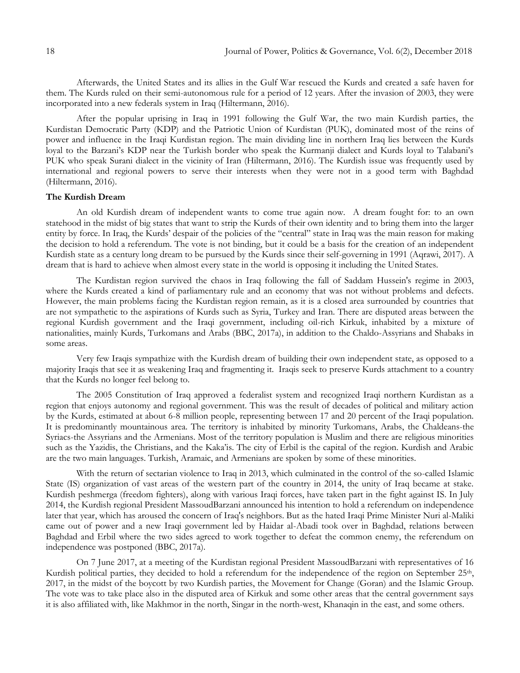Afterwards, the United States and its allies in the Gulf War rescued the Kurds and created a safe haven for them. The Kurds ruled on their semi-autonomous rule for a period of 12 years. After the invasion of 2003, they were incorporated into a new federals system in Iraq (Hiltermann, 2016).

After the popular uprising in Iraq in 1991 following the Gulf War, the two main Kurdish parties, the Kurdistan Democratic Party (KDP) and the Patriotic Union of Kurdistan (PUK), dominated most of the reins of power and influence in the Iraqi Kurdistan region. The main dividing line in northern Iraq lies between the Kurds loyal to the Barzani's KDP near the Turkish border who speak the Kurmanji dialect and Kurds loyal to Talabani's PUK who speak Surani dialect in the vicinity of Iran (Hiltermann, 2016). The Kurdish issue was frequently used by international and regional powers to serve their interests when they were not in a good term with Baghdad (Hiltermann, 2016).

#### **The Kurdish Dream**

An old Kurdish dream of independent wants to come true again now. A dream fought for: to an own statehood in the midst of big states that want to strip the Kurds of their own identity and to bring them into the larger entity by force. In Iraq, the Kurds' despair of the policies of the "central" state in Iraq was the main reason for making the decision to hold a referendum. The vote is not binding, but it could be a basis for the creation of an independent Kurdish state as a century long dream to be pursued by the Kurds since their self-governing in 1991 (Aqrawi, 2017). A dream that is hard to achieve when almost every state in the world is opposing it including the United States.

The Kurdistan region survived the chaos in Iraq following the fall of Saddam Hussein's regime in 2003, where the Kurds created a kind of parliamentary rule and an economy that was not without problems and defects. However, the main problems facing the Kurdistan region remain, as it is a closed area surrounded by countries that are not sympathetic to the aspirations of Kurds such as Syria, Turkey and Iran. There are disputed areas between the regional Kurdish government and the Iraqi government, including oil-rich Kirkuk, inhabited by a mixture of nationalities, mainly Kurds, Turkomans and Arabs (BBC, 2017a), in addition to the Chaldo-Assyrians and Shabaks in some areas.

Very few Iraqis sympathize with the Kurdish dream of building their own independent state, as opposed to a majority Iraqis that see it as weakening Iraq and fragmenting it. Iraqis seek to preserve Kurds attachment to a country that the Kurds no longer feel belong to.

The 2005 Constitution of Iraq approved a federalist system and recognized Iraqi northern Kurdistan as a region that enjoys autonomy and regional government. This was the result of decades of political and military action by the Kurds, estimated at about 6-8 million people, representing between 17 and 20 percent of the Iraqi population. It is predominantly mountainous area. The territory is inhabited by minority Turkomans, Arabs, the Chaldeans-the Syriacs-the Assyrians and the Armenians. Most of the territory population is Muslim and there are religious minorities such as the Yazidis, the Christians, and the Kaka'is. The city of Erbil is the capital of the region. Kurdish and Arabic are the two main languages. Turkish, Aramaic, and Armenians are spoken by some of these minorities.

With the return of sectarian violence to Iraq in 2013, which culminated in the control of the so-called Islamic State (IS) organization of vast areas of the western part of the country in 2014, the unity of Iraq became at stake. Kurdish peshmerga (freedom fighters), along with various Iraqi forces, have taken part in the fight against IS. In July 2014, the Kurdish regional President MassoudBarzani announced his intention to hold a referendum on independence later that year, which has aroused the concern of Iraq's neighbors. But as the hated Iraqi Prime Minister Nuri al-Maliki came out of power and a new Iraqi government led by Haidar al-Abadi took over in Baghdad, relations between Baghdad and Erbil where the two sides agreed to work together to defeat the common enemy, the referendum on independence was postponed (BBC, 2017a).

On 7 June 2017, at a meeting of the Kurdistan regional President MassoudBarzani with representatives of 16 Kurdish political parties, they decided to hold a referendum for the independence of the region on September 25<sup>th</sup>, 2017, in the midst of the boycott by two Kurdish parties, the Movement for Change (Goran) and the Islamic Group. The vote was to take place also in the disputed area of Kirkuk and some other areas that the central government says it is also affiliated with, like Makhmor in the north, Singar in the north-west, Khanaqin in the east, and some others.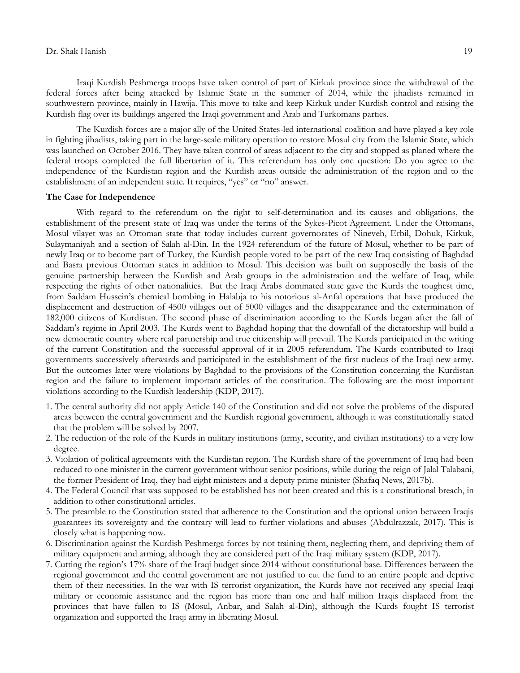#### Dr. Shak Hanish 19

Iraqi Kurdish Peshmerga troops have taken control of part of Kirkuk province since the withdrawal of the federal forces after being attacked by Islamic State in the summer of 2014, while the jihadists remained in southwestern province, mainly in Hawija. This move to take and keep Kirkuk under Kurdish control and raising the Kurdish flag over its buildings angered the Iraqi government and Arab and Turkomans parties.

The Kurdish forces are a major ally of the United States-led international coalition and have played a key role in fighting jihadists, taking part in the large-scale military operation to restore Mosul city from the Islamic State, which was launched on October 2016. They have taken control of areas adjacent to the city and stopped as planed where the federal troops completed the full libertarian of it. This referendum has only one question: Do you agree to the independence of the Kurdistan region and the Kurdish areas outside the administration of the region and to the establishment of an independent state. It requires, "yes" or "no" answer.

#### **The Case for Independence**

With regard to the referendum on the right to self-determination and its causes and obligations, the establishment of the present state of Iraq was under the terms of the Sykes-Picot Agreement. Under the Ottomans, Mosul vilayet was an Ottoman state that today includes current governorates of Nineveh, Erbil, Dohuk, Kirkuk, Sulaymaniyah and a section of Salah al-Din. In the 1924 referendum of the future of Mosul, whether to be part of newly Iraq or to become part of Turkey, the Kurdish people voted to be part of the new Iraq consisting of Baghdad and Basra previous Ottoman states in addition to Mosul. This decision was built on supposedly the basis of the genuine partnership between the Kurdish and Arab groups in the administration and the welfare of Iraq, while respecting the rights of other nationalities. But the Iraqi Arabs dominated state gave the Kurds the toughest time, from Saddam Hussein's chemical bombing in Halabja to his notorious al-Anfal operations that have produced the displacement and destruction of 4500 villages out of 5000 villages and the disappearance and the extermination of 182,000 citizens of Kurdistan. The second phase of discrimination according to the Kurds began after the fall of Saddam's regime in April 2003. The Kurds went to Baghdad hoping that the downfall of the dictatorship will build a new democratic country where real partnership and true citizenship will prevail. The Kurds participated in the writing of the current Constitution and the successful approval of it in 2005 referendum. The Kurds contributed to Iraqi governments successively afterwards and participated in the establishment of the first nucleus of the Iraqi new army. But the outcomes later were violations by Baghdad to the provisions of the Constitution concerning the Kurdistan region and the failure to implement important articles of the constitution. The following are the most important violations according to the Kurdish leadership (KDP, 2017).

- 1. The central authority did not apply Article 140 of the Constitution and did not solve the problems of the disputed areas between the central government and the Kurdish regional government, although it was constitutionally stated that the problem will be solved by 2007.
- 2. The reduction of the role of the Kurds in military institutions (army, security, and civilian institutions) to a very low degree.
- 3. Violation of political agreements with the Kurdistan region. The Kurdish share of the government of Iraq had been reduced to one minister in the current government without senior positions, while during the reign of Jalal Talabani, the former President of Iraq, they had eight ministers and a deputy prime minister (Shafaq News, 2017b).
- 4. The Federal Council that was supposed to be established has not been created and this is a constitutional breach, in addition to other constitutional articles.
- 5. The preamble to the Constitution stated that adherence to the Constitution and the optional union between Iraqis guarantees its sovereignty and the contrary will lead to further violations and abuses (Abdulrazzak, 2017). This is closely what is happening now.
- 6. Discrimination against the Kurdish Peshmerga forces by not training them, neglecting them, and depriving them of military equipment and arming, although they are considered part of the Iraqi military system (KDP, 2017).
- 7. Cutting the region's 17% share of the Iraqi budget since 2014 without constitutional base. Differences between the regional government and the central government are not justified to cut the fund to an entire people and deprive them of their necessities. In the war with IS terrorist organization, the Kurds have not received any special Iraqi military or economic assistance and the region has more than one and half million Iraqis displaced from the provinces that have fallen to IS (Mosul, Anbar, and Salah al-Din), although the Kurds fought IS terrorist organization and supported the Iraqi army in liberating Mosul.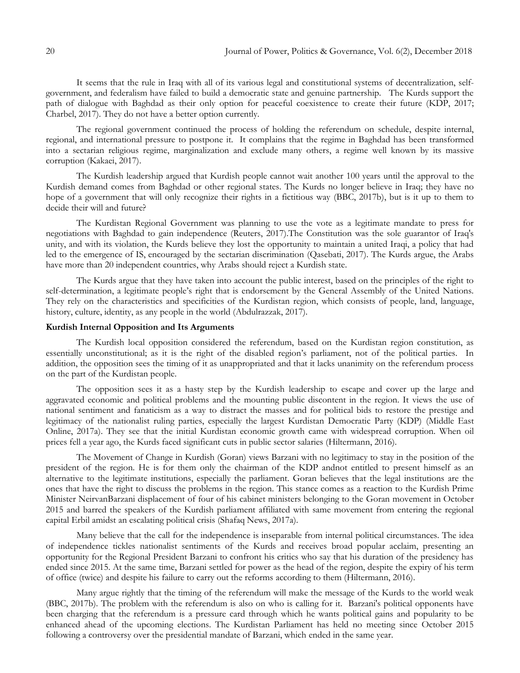It seems that the rule in Iraq with all of its various legal and constitutional systems of decentralization, selfgovernment, and federalism have failed to build a democratic state and genuine partnership. The Kurds support the path of dialogue with Baghdad as their only option for peaceful coexistence to create their future (KDP, 2017; Charbel, 2017). They do not have a better option currently.

The regional government continued the process of holding the referendum on schedule, despite internal, regional, and international pressure to postpone it. It complains that the regime in Baghdad has been transformed into a sectarian religious regime, marginalization and exclude many others, a regime well known by its massive corruption (Kakaei, 2017).

The Kurdish leadership argued that Kurdish people cannot wait another 100 years until the approval to the Kurdish demand comes from Baghdad or other regional states. The Kurds no longer believe in Iraq; they have no hope of a government that will only recognize their rights in a fictitious way (BBC, 2017b), but is it up to them to decide their will and future?

The Kurdistan Regional Government was planning to use the vote as a legitimate mandate to press for negotiations with Baghdad to gain independence (Reuters, 2017).The Constitution was the sole guarantor of Iraq's unity, and with its violation, the Kurds believe they lost the opportunity to maintain a united Iraqi, a policy that had led to the emergence of IS, encouraged by the sectarian discrimination (Qasebati, 2017). The Kurds argue, the Arabs have more than 20 independent countries, why Arabs should reject a Kurdish state.

The Kurds argue that they have taken into account the public interest, based on the principles of the right to self-determination, a legitimate people's right that is endorsement by the General Assembly of the United Nations. They rely on the characteristics and specificities of the Kurdistan region, which consists of people, land, language, history, culture, identity, as any people in the world (Abdulrazzak, 2017).

## **Kurdish Internal Opposition and Its Arguments**

The Kurdish local opposition considered the referendum, based on the Kurdistan region constitution, as essentially unconstitutional; as it is the right of the disabled region's parliament, not of the political parties. In addition, the opposition sees the timing of it as unappropriated and that it lacks unanimity on the referendum process on the part of the Kurdistan people.

The opposition sees it as a hasty step by the Kurdish leadership to escape and cover up the large and aggravated economic and political problems and the mounting public discontent in the region. It views the use of national sentiment and fanaticism as a way to distract the masses and for political bids to restore the prestige and legitimacy of the nationalist ruling parties, especially the largest Kurdistan Democratic Party (KDP) (Middle East Online, 2017a). They see that the initial Kurdistan economic growth came with widespread corruption. When oil prices fell a year ago, the Kurds faced significant cuts in public sector salaries (Hiltermann, 2016).

The Movement of Change in Kurdish (Goran) views Barzani with no legitimacy to stay in the position of the president of the region. He is for them only the chairman of the KDP andnot entitled to present himself as an alternative to the legitimate institutions, especially the parliament. Goran believes that the legal institutions are the ones that have the right to discuss the problems in the region. This stance comes as a reaction to the Kurdish Prime Minister NeirvanBarzani displacement of four of his cabinet ministers belonging to the Goran movement in October 2015 and barred the speakers of the Kurdish parliament affiliated with same movement from entering the regional capital Erbil amidst an escalating political crisis (Shafaq News, 2017a).

Many believe that the call for the independence is inseparable from internal political circumstances. The idea of independence tickles nationalist sentiments of the Kurds and receives broad popular acclaim, presenting an opportunity for the Regional President Barzani to confront his critics who say that his duration of the presidency has ended since 2015. At the same time, Barzani settled for power as the head of the region, despite the expiry of his term of office (twice) and despite his failure to carry out the reforms according to them (Hiltermann, 2016).

Many argue rightly that the timing of the referendum will make the message of the Kurds to the world weak (BBC, 2017b). The problem with the referendum is also on who is calling for it. Barzani's political opponents have been charging that the referendum is a pressure card through which he wants political gains and popularity to be enhanced ahead of the upcoming elections. The Kurdistan Parliament has held no meeting since October 2015 following a controversy over the presidential mandate of Barzani, which ended in the same year.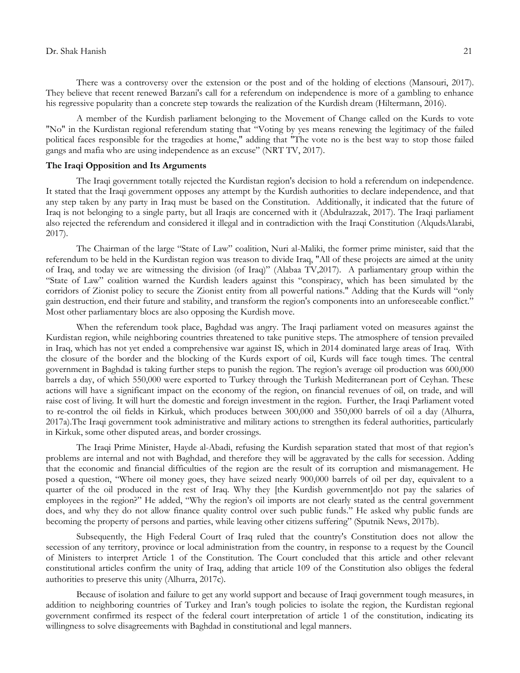There was a controversy over the extension or the post and of the holding of elections (Mansouri, 2017). They believe that recent renewed Barzani's call for a referendum on independence is more of a gambling to enhance his regressive popularity than a concrete step towards the realization of the Kurdish dream (Hiltermann, 2016).

A member of the Kurdish parliament belonging to the Movement of Change called on the Kurds to vote "No" in the Kurdistan regional referendum stating that "Voting by yes means renewing the legitimacy of the failed political faces responsible for the tragedies at home," adding that "The vote no is the best way to stop those failed gangs and mafia who are using independence as an excuse" (NRT TV, 2017).

#### **The Iraqi Opposition and Its Arguments**

The Iraqi government totally rejected the Kurdistan region's decision to hold a referendum on independence. It stated that the Iraqi government opposes any attempt by the Kurdish authorities to declare independence, and that any step taken by any party in Iraq must be based on the Constitution. Additionally, it indicated that the future of Iraq is not belonging to a single party, but all Iraqis are concerned with it (Abdulrazzak, 2017). The Iraqi parliament also rejected the referendum and considered it illegal and in contradiction with the Iraqi Constitution (AlqudsAlarabi, 2017).

The Chairman of the large "State of Law" coalition, Nuri al-Maliki, the former prime minister, said that the referendum to be held in the Kurdistan region was treason to divide Iraq, "All of these projects are aimed at the unity of Iraq, and today we are witnessing the division (of Iraq)" (Alabaa TV,2017). A parliamentary group within the "State of Law" coalition warned the Kurdish leaders against this "conspiracy, which has been simulated by the corridors of Zionist policy to secure the Zionist entity from all powerful nations." Adding that the Kurds will "only gain destruction, end their future and stability, and transform the region's components into an unforeseeable conflict." Most other parliamentary blocs are also opposing the Kurdish move.

When the referendum took place, Baghdad was angry. The Iraqi parliament voted on measures against the Kurdistan region, while neighboring countries threatened to take punitive steps. The atmosphere of tension prevailed in Iraq, which has not yet ended a comprehensive war against IS, which in 2014 dominated large areas of Iraq. With the closure of the border and the blocking of the Kurds export of oil, Kurds will face tough times. The central government in Baghdad is taking further steps to punish the region. The region's average oil production was 600,000 barrels a day, of which 550,000 were exported to Turkey through the Turkish Mediterranean port of Ceyhan. These actions will have a significant impact on the economy of the region, on financial revenues of oil, on trade, and will raise cost of living. It will hurt the domestic and foreign investment in the region. Further, the Iraqi Parliament voted to re-control the oil fields in Kirkuk, which produces between 300,000 and 350,000 barrels of oil a day (Alhurra, 2017a).The Iraqi government took administrative and military actions to strengthen its federal authorities, particularly in Kirkuk, some other disputed areas, and border crossings.

The Iraqi Prime Minister, Hayde al-Abadi, refusing the Kurdish separation stated that most of that region's problems are internal and not with Baghdad, and therefore they will be aggravated by the calls for secession. Adding that the economic and financial difficulties of the region are the result of its corruption and mismanagement. He posed a question, "Where oil money goes, they have seized nearly 900,000 barrels of oil per day, equivalent to a quarter of the oil produced in the rest of Iraq. Why they [the Kurdish government]do not pay the salaries of employees in the region?" He added, "Why the region's oil imports are not clearly stated as the central government does, and why they do not allow finance quality control over such public funds." He asked why public funds are becoming the property of persons and parties, while leaving other citizens suffering" (Sputnik News, 2017b).

Subsequently, the High Federal Court of Iraq ruled that the country's Constitution does not allow the secession of any territory, province or local administration from the country, in response to a request by the Council of Ministers to interpret Article 1 of the Constitution. The Court concluded that this article and other relevant constitutional articles confirm the unity of Iraq, adding that article 109 of the Constitution also obliges the federal authorities to preserve this unity (Alhurra, 2017c).

Because of isolation and failure to get any world support and because of Iraqi government tough measures, in addition to neighboring countries of Turkey and Iran's tough policies to isolate the region, the Kurdistan regional government confirmed its respect of the federal court interpretation of article 1 of the constitution, indicating its willingness to solve disagreements with Baghdad in constitutional and legal manners.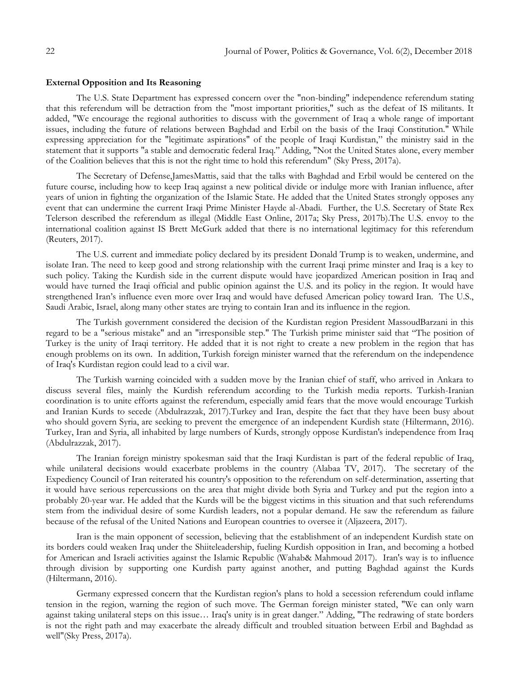### **External Opposition and Its Reasoning**

The U.S. State Department has expressed concern over the "non-binding" independence referendum stating that this referendum will be detraction from the "most important priorities," such as the defeat of IS militants. It added, "We encourage the regional authorities to discuss with the government of Iraq a whole range of important issues, including the future of relations between Baghdad and Erbil on the basis of the Iraqi Constitution." While expressing appreciation for the "legitimate aspirations" of the people of Iraqi Kurdistan," the ministry said in the statement that it supports "a stable and democratic federal Iraq." Adding, "Not the United States alone, every member of the Coalition believes that this is not the right time to hold this referendum" (Sky Press, 2017a).

The Secretary of Defense,JamesMattis, said that the talks with Baghdad and Erbil would be centered on the future course, including how to keep Iraq against a new political divide or indulge more with Iranian influence, after years of union in fighting the organization of the Islamic State. He added that the United States strongly opposes any event that can undermine the current Iraqi Prime Minister Hayde al-Abadi. Further, the U.S. Secretary of State Rex Telerson described the referendum as illegal (Middle East Online, 2017a; Sky Press, 2017b).The U.S. envoy to the international coalition against IS Brett McGurk added that there is no international legitimacy for this referendum (Reuters, 2017).

The U.S. current and immediate policy declared by its president Donald Trump is to weaken, undermine, and isolate Iran. The need to keep good and strong relationship with the current Iraqi prime minster and Iraq is a key to such policy. Taking the Kurdish side in the current dispute would have jeopardized American position in Iraq and would have turned the Iraqi official and public opinion against the U.S. and its policy in the region. It would have strengthened Iran's influence even more over Iraq and would have defused American policy toward Iran. The U.S., Saudi Arabic, Israel, along many other states are trying to contain Iran and its influence in the region.

The Turkish government considered the decision of the Kurdistan region President MassoudBarzani in this regard to be a "serious mistake" and an "irresponsible step." The Turkish prime minister said that "The position of Turkey is the unity of Iraqi territory. He added that it is not right to create a new problem in the region that has enough problems on its own. In addition, Turkish foreign minister warned that the referendum on the independence of Iraq's Kurdistan region could lead to a civil war.

The Turkish warning coincided with a sudden move by the Iranian chief of staff, who arrived in Ankara to discuss several files, mainly the Kurdish referendum according to the Turkish media reports. Turkish-Iranian coordination is to unite efforts against the referendum, especially amid fears that the move would encourage Turkish and Iranian Kurds to secede (Abdulrazzak, 2017).Turkey and Iran, despite the fact that they have been busy about who should govern Syria, are seeking to prevent the emergence of an independent Kurdish state (Hiltermann, 2016). Turkey, Iran and Syria, all inhabited by large numbers of Kurds, strongly oppose Kurdistan's independence from Iraq (Abdulrazzak, 2017).

The Iranian foreign ministry spokesman said that the Iraqi Kurdistan is part of the federal republic of Iraq, while unilateral decisions would exacerbate problems in the country (Alabaa TV, 2017). The secretary of the Expediency Council of Iran reiterated his country's opposition to the referendum on self-determination, asserting that it would have serious repercussions on the area that might divide both Syria and Turkey and put the region into a probably 20-year war. He added that the Kurds will be the biggest victims in this situation and that such referendums stem from the individual desire of some Kurdish leaders, not a popular demand. He saw the referendum as failure because of the refusal of the United Nations and European countries to oversee it (Aljazeera, 2017).

Iran is the main opponent of secession, believing that the establishment of an independent Kurdish state on its borders could weaken Iraq under the Shiiteleadership, fueling Kurdish opposition in Iran, and becoming a hotbed for American and Israeli activities against the Islamic Republic (Wahab& Mahmoud 2017). Iran's way is to influence through division by supporting one Kurdish party against another, and putting Baghdad against the Kurds (Hiltermann, 2016).

Germany expressed concern that the Kurdistan region's plans to hold a secession referendum could inflame tension in the region, warning the region of such move. The German foreign minister stated, "We can only warn against taking unilateral steps on this issue… Iraq's unity is in great danger." Adding, "The redrawing of state borders is not the right path and may exacerbate the already difficult and troubled situation between Erbil and Baghdad as well"(Sky Press, 2017a).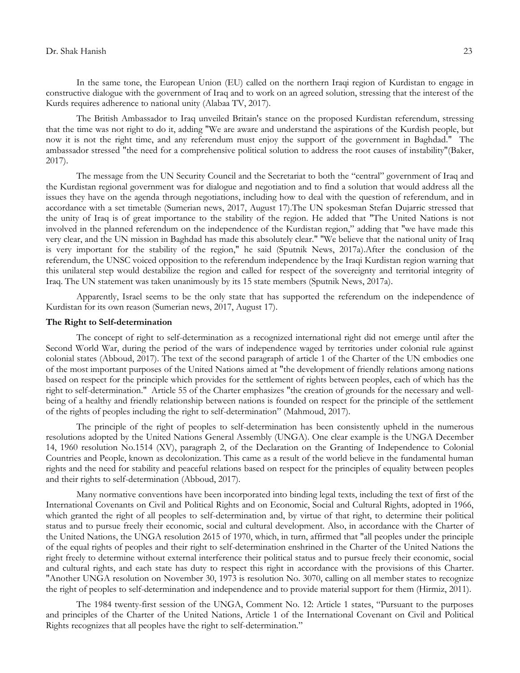## Dr. Shak Hanish 23

In the same tone, the European Union (EU) called on the northern Iraqi region of Kurdistan to engage in constructive dialogue with the government of Iraq and to work on an agreed solution, stressing that the interest of the Kurds requires adherence to national unity (Alabaa TV, 2017).

The British Ambassador to Iraq unveiled Britain's stance on the proposed Kurdistan referendum, stressing that the time was not right to do it, adding "We are aware and understand the aspirations of the Kurdish people, but now it is not the right time, and any referendum must enjoy the support of the government in Baghdad." The ambassador stressed "the need for a comprehensive political solution to address the root causes of instability"(Baker, 2017).

The message from the UN Security Council and the Secretariat to both the "central" government of Iraq and the Kurdistan regional government was for dialogue and negotiation and to find a solution that would address all the issues they have on the agenda through negotiations, including how to deal with the question of referendum, and in accordance with a set timetable (Sumerian news, 2017, August 17).The UN spokesman Stefan Dujarric stressed that the unity of Iraq is of great importance to the stability of the region. He added that "The United Nations is not involved in the planned referendum on the independence of the Kurdistan region," adding that "we have made this very clear, and the UN mission in Baghdad has made this absolutely clear." "We believe that the national unity of Iraq is very important for the stability of the region," he said (Sputnik News, 2017a).After the conclusion of the referendum, the UNSC voiced opposition to the referendum independence by the Iraqi Kurdistan region warning that this unilateral step would destabilize the region and called for respect of the sovereignty and territorial integrity of Iraq. The UN statement was taken unanimously by its 15 state members (Sputnik News, 2017a).

Apparently, Israel seems to be the only state that has supported the referendum on the independence of Kurdistan for its own reason (Sumerian news, 2017, August 17).

## **The Right to Self-determination**

The concept of right to self-determination as a recognized international right did not emerge until after the Second World War, during the period of the wars of independence waged by territories under colonial rule against colonial states (Abboud, 2017). The text of the second paragraph of article 1 of the Charter of the UN embodies one of the most important purposes of the United Nations aimed at "the development of friendly relations among nations based on respect for the principle which provides for the settlement of rights between peoples, each of which has the right to self-determination." Article 55 of the Charter emphasizes "the creation of grounds for the necessary and wellbeing of a healthy and friendly relationship between nations is founded on respect for the principle of the settlement of the rights of peoples including the right to self-determination" (Mahmoud, 2017).

The principle of the right of peoples to self-determination has been consistently upheld in the numerous resolutions adopted by the United Nations General Assembly (UNGA). One clear example is the UNGA December 14, 1960 resolution No.1514 (XV), paragraph 2, of the Declaration on the Granting of Independence to Colonial Countries and People, known as decolonization. This came as a result of the world believe in the fundamental human rights and the need for stability and peaceful relations based on respect for the principles of equality between peoples and their rights to self-determination (Abboud, 2017).

Many normative conventions have been incorporated into binding legal texts, including the text of first of the International Covenants on Civil and Political Rights and on Economic, Social and Cultural Rights, adopted in 1966, which granted the right of all peoples to self-determination and, by virtue of that right, to determine their political status and to pursue freely their economic, social and cultural development. Also, in accordance with the Charter of the United Nations, the UNGA resolution 2615 of 1970, which, in turn, affirmed that "all peoples under the principle of the equal rights of peoples and their right to self-determination enshrined in the Charter of the United Nations the right freely to determine without external interference their political status and to pursue freely their economic, social and cultural rights, and each state has duty to respect this right in accordance with the provisions of this Charter. "Another UNGA resolution on November 30, 1973 is resolution No. 3070, calling on all member states to recognize the right of peoples to self-determination and independence and to provide material support for them (Hirmiz, 2011).

The 1984 twenty-first session of the UNGA, Comment No. 12: Article 1 states, "Pursuant to the purposes and principles of the Charter of the United Nations, Article 1 of the International Covenant on Civil and Political Rights recognizes that all peoples have the right to self-determination."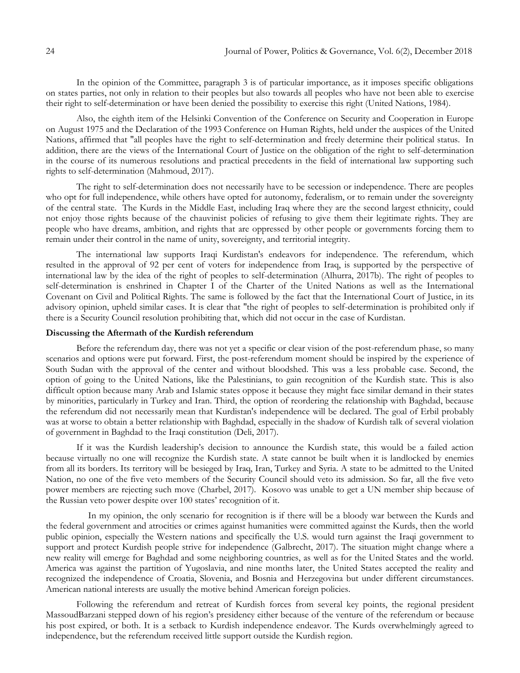In the opinion of the Committee, paragraph 3 is of particular importance, as it imposes specific obligations on states parties, not only in relation to their peoples but also towards all peoples who have not been able to exercise their right to self-determination or have been denied the possibility to exercise this right (United Nations, 1984).

Also, the eighth item of the Helsinki Convention of the Conference on Security and Cooperation in Europe on August 1975 and the Declaration of the 1993 Conference on Human Rights, held under the auspices of the United Nations, affirmed that "all peoples have the right to self-determination and freely determine their political status. In addition, there are the views of the International Court of Justice on the obligation of the right to self-determination in the course of its numerous resolutions and practical precedents in the field of international law supporting such rights to self-determination (Mahmoud, 2017).

The right to self-determination does not necessarily have to be secession or independence. There are peoples who opt for full independence, while others have opted for autonomy, federalism, or to remain under the sovereignty of the central state. The Kurds in the Middle East, including Iraq where they are the second largest ethnicity, could not enjoy those rights because of the chauvinist policies of refusing to give them their legitimate rights. They are people who have dreams, ambition, and rights that are oppressed by other people or governments forcing them to remain under their control in the name of unity, sovereignty, and territorial integrity.

The international law supports Iraqi Kurdistan's endeavors for independence. The referendum, which resulted in the approval of 92 per cent of voters for independence from Iraq, is supported by the perspective of international law by the idea of the right of peoples to self-determination (Alhurra, 2017b). The right of peoples to self-determination is enshrined in Chapter I of the Charter of the United Nations as well as the International Covenant on Civil and Political Rights. The same is followed by the fact that the International Court of Justice, in its advisory opinion, upheld similar cases. It is clear that "the right of peoples to self-determination is prohibited only if there is a Security Council resolution prohibiting that, which did not occur in the case of Kurdistan.

## **Discussing the Aftermath of the Kurdish referendum**

Before the referendum day, there was not yet a specific or clear vision of the post-referendum phase, so many scenarios and options were put forward. First, the post-referendum moment should be inspired by the experience of South Sudan with the approval of the center and without bloodshed. This was a less probable case. Second, the option of going to the United Nations, like the Palestinians, to gain recognition of the Kurdish state. This is also difficult option because many Arab and Islamic states oppose it because they might face similar demand in their states by minorities, particularly in Turkey and Iran. Third, the option of reordering the relationship with Baghdad, because the referendum did not necessarily mean that Kurdistan's independence will be declared. The goal of Erbil probably was at worse to obtain a better relationship with Baghdad, especially in the shadow of Kurdish talk of several violation of government in Baghdad to the Iraqi constitution (Deli, 2017).

If it was the Kurdish leadership's decision to announce the Kurdish state, this would be a failed action because virtually no one will recognize the Kurdish state. A state cannot be built when it is landlocked by enemies from all its borders. Its territory will be besieged by Iraq, Iran, Turkey and Syria. A state to be admitted to the United Nation, no one of the five veto members of the Security Council should veto its admission. So far, all the five veto power members are rejecting such move (Charbel, 2017). Kosovo was unable to get a UN member ship because of the Russian veto power despite over 100 states' recognition of it.

 In my opinion, the only scenario for recognition is if there will be a bloody war between the Kurds and the federal government and atrocities or crimes against humanities were committed against the Kurds, then the world public opinion, especially the Western nations and specifically the U.S. would turn against the Iraqi government to support and protect Kurdish people strive for independence (Galbrecht, 2017). The situation might change where a new reality will emerge for Baghdad and some neighboring countries, as well as for the United States and the world. America was against the partition of Yugoslavia, and nine months later, the United States accepted the reality and recognized the independence of Croatia, Slovenia, and Bosnia and Herzegovina but under different circumstances. American national interests are usually the motive behind American foreign policies.

Following the referendum and retreat of Kurdish forces from several key points, the regional president MassoudBarzani stepped down of his region's presidency either because of the venture of the referendum or because his post expired, or both. It is a setback to Kurdish independence endeavor. The Kurds overwhelmingly agreed to independence, but the referendum received little support outside the Kurdish region.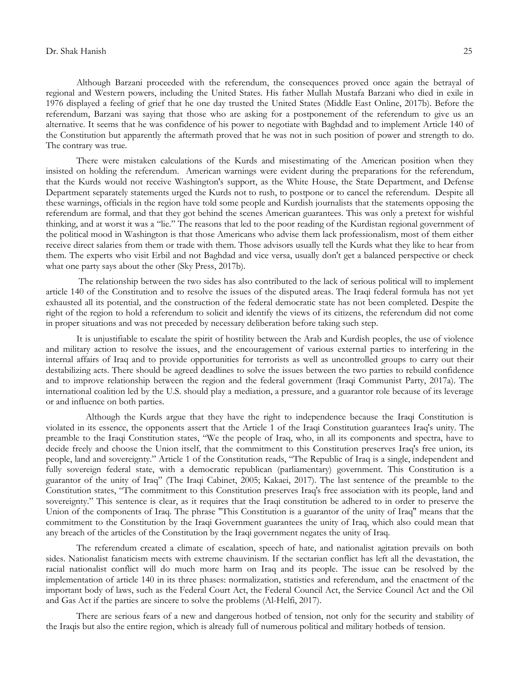#### Dr. Shak Hanish 25

Although Barzani proceeded with the referendum, the consequences proved once again the betrayal of regional and Western powers, including the United States. His father Mullah Mustafa Barzani who died in exile in 1976 displayed a feeling of grief that he one day trusted the United States (Middle East Online, 2017b). Before the referendum, Barzani was saying that those who are asking for a postponement of the referendum to give us an alternative. It seems that he was confidence of his power to negotiate with Baghdad and to implement Article 140 of the Constitution but apparently the aftermath proved that he was not in such position of power and strength to do. The contrary was true.

There were mistaken calculations of the Kurds and misestimating of the American position when they insisted on holding the referendum. American warnings were evident during the preparations for the referendum, that the Kurds would not receive Washington's support, as the White House, the State Department, and Defense Department separately statements urged the Kurds not to rush, to postpone or to cancel the referendum. Despite all these warnings, officials in the region have told some people and Kurdish journalists that the statements opposing the referendum are formal, and that they got behind the scenes American guarantees. This was only a pretext for wishful thinking, and at worst it was a "lie." The reasons that led to the poor reading of the Kurdistan regional government of the political mood in Washington is that those Americans who advise them lack professionalism, most of them either receive direct salaries from them or trade with them. Those advisors usually tell the Kurds what they like to hear from them. The experts who visit Erbil and not Baghdad and vice versa, usually don't get a balanced perspective or check what one party says about the other (Sky Press, 2017b).

The relationship between the two sides has also contributed to the lack of serious political will to implement article 140 of the Constitution and to resolve the issues of the disputed areas. The Iraqi federal formula has not yet exhausted all its potential, and the construction of the federal democratic state has not been completed. Despite the right of the region to hold a referendum to solicit and identify the views of its citizens, the referendum did not come in proper situations and was not preceded by necessary deliberation before taking such step.

It is unjustifiable to escalate the spirit of hostility between the Arab and Kurdish peoples, the use of violence and military action to resolve the issues, and the encouragement of various external parties to interfering in the internal affairs of Iraq and to provide opportunities for terrorists as well as uncontrolled groups to carry out their destabilizing acts. There should be agreed deadlines to solve the issues between the two parties to rebuild confidence and to improve relationship between the region and the federal government (Iraqi Communist Party, 2017a). The international coalition led by the U.S. should play a mediation, a pressure, and a guarantor role because of its leverage or and influence on both parties.

 Although the Kurds argue that they have the right to independence because the Iraqi Constitution is violated in its essence, the opponents assert that the Article 1 of the Iraqi Constitution guarantees Iraq's unity. The preamble to the Iraqi Constitution states, "We the people of Iraq, who, in all its components and spectra, have to decide freely and choose the Union itself, that the commitment to this Constitution preserves Iraq's free union, its people, land and sovereignty." Article 1 of the Constitution reads, "The Republic of Iraq is a single, independent and fully sovereign federal state, with a democratic republican (parliamentary) government. This Constitution is a guarantor of the unity of Iraq" (The Iraqi Cabinet, 2005; Kakaei, 2017). The last sentence of the preamble to the Constitution states, "The commitment to this Constitution preserves Iraq's free association with its people, land and sovereignty." This sentence is clear, as it requires that the Iraqi constitution be adhered to in order to preserve the Union of the components of Iraq. The phrase "This Constitution is a guarantor of the unity of Iraq" means that the commitment to the Constitution by the Iraqi Government guarantees the unity of Iraq, which also could mean that any breach of the articles of the Constitution by the Iraqi government negates the unity of Iraq.

The referendum created a climate of escalation, speech of hate, and nationalist agitation prevails on both sides. Nationalist fanaticism meets with extreme chauvinism. If the sectarian conflict has left all the devastation, the racial nationalist conflict will do much more harm on Iraq and its people. The issue can be resolved by the implementation of article 140 in its three phases: normalization, statistics and referendum, and the enactment of the important body of laws, such as the Federal Court Act, the Federal Council Act, the Service Council Act and the Oil and Gas Act if the parties are sincere to solve the problems (Al-Helfi, 2017).

There are serious fears of a new and dangerous hotbed of tension, not only for the security and stability of the Iraqis but also the entire region, which is already full of numerous political and military hotbeds of tension.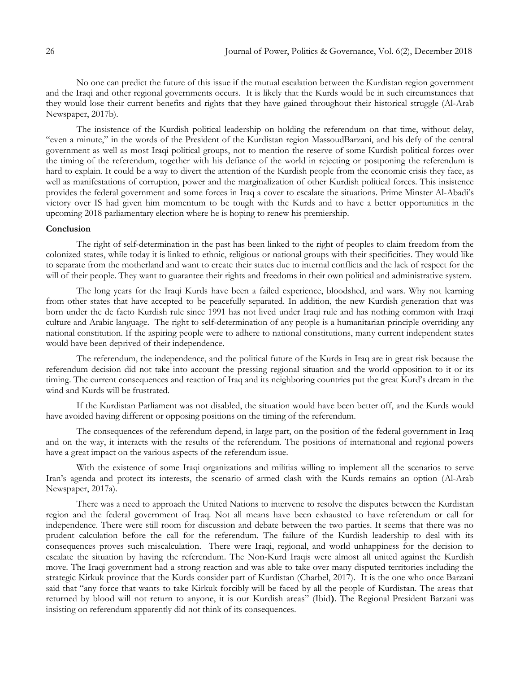No one can predict the future of this issue if the mutual escalation between the Kurdistan region government and the Iraqi and other regional governments occurs. It is likely that the Kurds would be in such circumstances that they would lose their current benefits and rights that they have gained throughout their historical struggle (Al-Arab Newspaper, 2017b).

The insistence of the Kurdish political leadership on holding the referendum on that time, without delay, "even a minute," in the words of the President of the Kurdistan region MassoudBarzani, and his defy of the central government as well as most Iraqi political groups, not to mention the reserve of some Kurdish political forces over the timing of the referendum, together with his defiance of the world in rejecting or postponing the referendum is hard to explain. It could be a way to divert the attention of the Kurdish people from the economic crisis they face, as well as manifestations of corruption, power and the marginalization of other Kurdish political forces. This insistence provides the federal government and some forces in Iraq a cover to escalate the situations. Prime Minster Al-Abadi's victory over IS had given him momentum to be tough with the Kurds and to have a better opportunities in the upcoming 2018 parliamentary election where he is hoping to renew his premiership.

## **Conclusion**

The right of self-determination in the past has been linked to the right of peoples to claim freedom from the colonized states, while today it is linked to ethnic, religious or national groups with their specificities. They would like to separate from the motherland and want to create their states due to internal conflicts and the lack of respect for the will of their people. They want to guarantee their rights and freedoms in their own political and administrative system.

The long years for the Iraqi Kurds have been a failed experience, bloodshed, and wars. Why not learning from other states that have accepted to be peacefully separated. In addition, the new Kurdish generation that was born under the de facto Kurdish rule since 1991 has not lived under Iraqi rule and has nothing common with Iraqi culture and Arabic language. The right to self-determination of any people is a humanitarian principle overriding any national constitution. If the aspiring people were to adhere to national constitutions, many current independent states would have been deprived of their independence.

The referendum, the independence, and the political future of the Kurds in Iraq are in great risk because the referendum decision did not take into account the pressing regional situation and the world opposition to it or its timing. The current consequences and reaction of Iraq and its neighboring countries put the great Kurd's dream in the wind and Kurds will be frustrated.

If the Kurdistan Parliament was not disabled, the situation would have been better off, and the Kurds would have avoided having different or opposing positions on the timing of the referendum.

The consequences of the referendum depend, in large part, on the position of the federal government in Iraq and on the way, it interacts with the results of the referendum. The positions of international and regional powers have a great impact on the various aspects of the referendum issue.

With the existence of some Iraqi organizations and militias willing to implement all the scenarios to serve Iran's agenda and protect its interests, the scenario of armed clash with the Kurds remains an option (Al-Arab Newspaper, 2017a).

There was a need to approach the United Nations to intervene to resolve the disputes between the Kurdistan region and the federal government of Iraq. Not all means have been exhausted to have referendum or call for independence. There were still room for discussion and debate between the two parties. It seems that there was no prudent calculation before the call for the referendum. The failure of the Kurdish leadership to deal with its consequences proves such miscalculation. There were Iraqi, regional, and world unhappiness for the decision to escalate the situation by having the referendum. The Non-Kurd Iraqis were almost all united against the Kurdish move. The Iraqi government had a strong reaction and was able to take over many disputed territories including the strategic Kirkuk province that the Kurds consider part of Kurdistan (Charbel, 2017). It is the one who once Barzani said that "any force that wants to take Kirkuk forcibly will be faced by all the people of Kurdistan. The areas that returned by blood will not return to anyone, it is our Kurdish areas" (Ibid**)**. The Regional President Barzani was insisting on referendum apparently did not think of its consequences.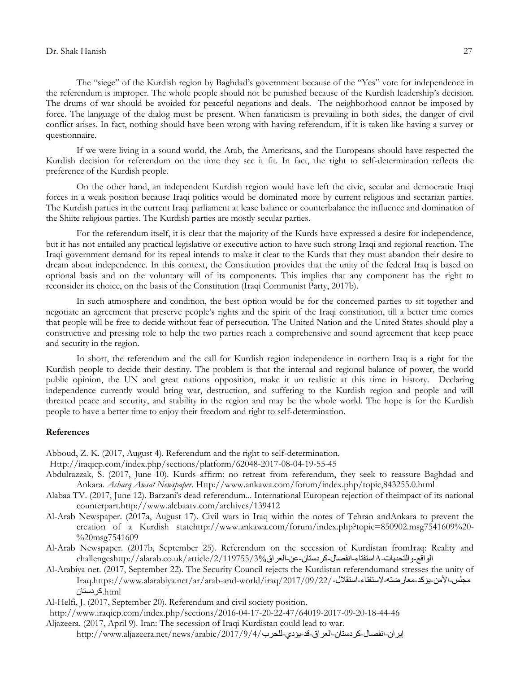The "siege" of the Kurdish region by Baghdad's government because of the "Yes" vote for independence in the referendum is improper. The whole people should not be punished because of the Kurdish leadership's decision. The drums of war should be avoided for peaceful negations and deals. The neighborhood cannot be imposed by force. The language of the dialog must be present. When fanaticism is prevailing in both sides, the danger of civil conflict arises. In fact, nothing should have been wrong with having referendum, if it is taken like having a survey or questionnaire.

If we were living in a sound world, the Arab, the Americans, and the Europeans should have respected the Kurdish decision for referendum on the time they see it fit. In fact, the right to self-determination reflects the preference of the Kurdish people.

On the other hand, an independent Kurdish region would have left the civic, secular and democratic Iraqi forces in a weak position because Iraqi politics would be dominated more by current religious and sectarian parties. The Kurdish parties in the current Iraqi parliament at lease balance or counterbalance the influence and domination of the Shiite religious parties. The Kurdish parties are mostly secular parties.

For the referendum itself, it is clear that the majority of the Kurds have expressed a desire for independence, but it has not entailed any practical legislative or executive action to have such strong Iraqi and regional reaction. The Iraqi government demand for its repeal intends to make it clear to the Kurds that they must abandon their desire to dream about independence. In this context, the Constitution provides that the unity of the federal Iraq is based on optional basis and on the voluntary will of its components. This implies that any component has the right to reconsider its choice, on the basis of the Constitution (Iraqi Communist Party, 2017b).

In such atmosphere and condition, the best option would be for the concerned parties to sit together and negotiate an agreement that preserve people's rights and the spirit of the Iraqi constitution, till a better time comes that people will be free to decide without fear of persecution. The United Nation and the United States should play a constructive and pressing role to help the two parties reach a comprehensive and sound agreement that keep peace and security in the region.

In short, the referendum and the call for Kurdish region independence in northern Iraq is a right for the Kurdish people to decide their destiny. The problem is that the internal and regional balance of power, the world public opinion, the UN and great nations opposition, make it un realistic at this time in history. Declaring independence currently would bring war, destruction, and suffering to the Kurdish region and people and will threated peace and security, and stability in the region and may be the whole world. The hope is for the Kurdish people to have a better time to enjoy their freedom and right to self-determination.

### **References**

Abboud, Z. K. (2017, August 4). Referendum and the right to self-determination.

[Http://iraqicp.com/index.php/sections/platform/62048-2017-08-04-19-55-45](https://ssl.microsofttranslator.com/bv.aspx?from=&to=en&a=Http%3A%2F%2Firaqicp.com%2Findex.php%2Fsections%2Fplatform%2F62048-2017-08-04-19-55-45)

- Abdulrazzak, S. (2017, June 10). Kurds affirm: no retreat from referendum, they seek to reassure Baghdad and Ankara. *Asharq Awsat Newspaper*[. Http://www.ankawa.com/forum/index.php/topic,843255.0.html](https://ssl.microsofttranslator.com/bv.aspx?from=&to=en&a=Http%3A%2F%2Fwww.ankawa.com%2Fforum%2Findex.php%2Ftopic%2C843255.0.html)
- Alabaa TV. (2017, June 12). Barzani's dead referendum... International European rejection of theimpact of its national counterpart[.http://www.alebaatv.com/archives/139412](http://www.alebaatv.com/archives/139412)
- Al-Arab Newspaper. (2017a, August 17). Civil wars in Iraq within the notes of Tehran andAnkara to prevent the creation of a Kurdish stat[ehttp://www.ankawa.com/forum/index.php?topic=850902.msg7541609%20-](http://www.ankawa.com/forum/index.php?topic=850902.msg7541609%20-%20msg7541609) [%20msg7541609](http://www.ankawa.com/forum/index.php?topic=850902.msg7541609%20-%20msg7541609)
- Al-Arab Newspaper. (2017b, September 25). Referendum on the secession of Kurdistan fromIraq: Reality and الواقع-والتحديات-Aاستفتاء-انفصال-كردستان-عن-العراق/2/119755/3% challengeshttp://alarab.co.uk/article
- Al-Arabiya net. (2017, September 22). The Security Council rejects the Kurdistan referendumand stresses the unity of Iraq[.https://www.alarabiya.net/ar/arab-and-world/iraq/2017/09/22/](https://www.alarabiya.net/ar/arab-and-world/iraq/2017/09/22/????-?????-????-???????-????????-???????-???????.html)-استقالل-الستفتاء-هعارضته-يؤكد-األهي-هجلس html.[كردستاى](https://www.alarabiya.net/ar/arab-and-world/iraq/2017/09/22/????-?????-????-???????-????????-???????-???????.html)

Al-Helfi, J. (2017, September 20). Referendum and civil society position.

- [http://www.iraqicp.com/index.php/sections/2016-04-17-20-22-47/64019-2017-09-20-18-44-46](https://ssl.microsofttranslator.com/bv.aspx?from=&to=en&a=http%3A%2F%2Fwww.iraqicp.com%2Findex.php%2Fsections%2F2016-04-17-20-22-47%2F64019-2017-09-20-18-44-46)
- Aljazeera. (2017, April 9). Iran: The secession of Iraqi Kurdistan could lead to war. إيران-انفصال-كردستان-العراق-قد-يؤدي-للحرب/2017/9/4/بارن-انفصال-كردستان-العراق-قد-يؤدي-للحرب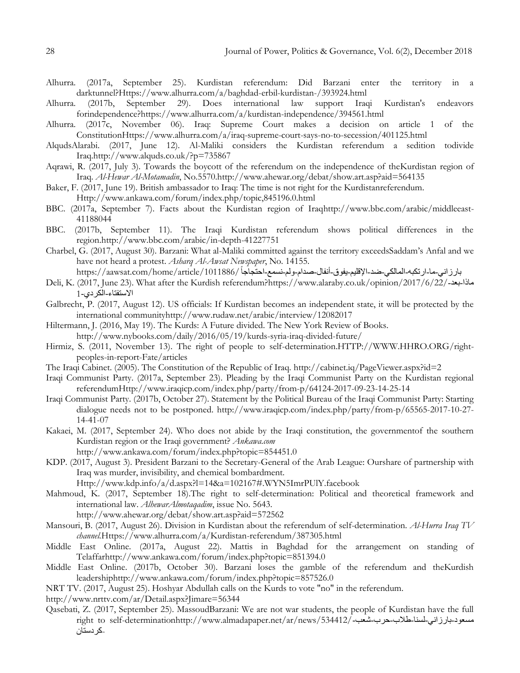- Alhurra. (2017a, September 25). Kurdistan referendum: Did Barzani enter the territory in a darktunnel[?Https://www.alhurra.com/a/baghdad-erbil-kurdistan-/393924.html](https://ssl.microsofttranslator.com/bv.aspx?from=&to=en&a=Https%3A%2F%2Fwww.alhurra.com%2Fa%2Fbaghdad-erbil-kurdistan-%2F393924.html)
- Alhurra. (2017b, September 29). Does international law support Iraqi Kurdistan's endeavors forindependence[?https://www.alhurra.com/a/kurdistan-independence/394561.html](https://www.alhurra.com/a/kurdistan-independence/394561.html)
- Alhurra. (2017c, November 06). Iraq: Supreme Court makes a decision on article 1 of the Constitutio[nHttps://www.alhurra.com/a/iraq-supreme-court-says-no-to-secession/401125.html](https://ssl.microsofttranslator.com/bv.aspx?from=&to=en&a=Https%3A%2F%2Fwww.alhurra.com%2Fa%2Firaq-supreme-court-says-no-to-secession%2F401125.html)
- AlqudsAlarabi. (2017, June 12). Al-Maliki considers the Kurdistan referendum a sedition todivide Iraq[.http://www.alquds.co.uk/?p=735867](https://ssl.microsofttranslator.com/bv.aspx?from=&to=en&a=http%3A%2F%2Fwww.alquds.co.uk%2F%3Fp%3D735867)
- Aqrawi, R. (2017, July 3). Towards the boycott of the referendum on the independence of theKurdistan region of Iraq. *Al-Hewar Al-Motamadin*, No.5570[.http://www.ahewar.org/debat/show.art.asp?aid=564135](https://ssl.microsofttranslator.com/bv.aspx?from=&to=en&a=http%3A%2F%2Fwww.ahewar.org%2Fdebat%2Fshow.art.asp%3Faid%3D564135)
- Baker, F. (2017, June 19). British ambassador to Iraq: The time is not right for the Kurdistanreferendum. [Http://www.ankawa.com/forum/index.php/topic,845196.0.html](https://ssl.microsofttranslator.com/bv.aspx?from=&to=en&a=Http%3A%2F%2Fwww.ankawa.com%2Fforum%2Findex.php%2Ftopic%2C845196.0.html)
- BBC. (2017a, September 7). Facts about the Kurdistan region of Ira[qhttp://www.bbc.com/arabic/middleeast-](https://ssl.microsofttranslator.com/bv.aspx?from=&to=en&a=http%3A%2F%2Fwww.bbc.com%2Farabic%2Fmiddleeast-41188044)[41188044](https://ssl.microsofttranslator.com/bv.aspx?from=&to=en&a=http%3A%2F%2Fwww.bbc.com%2Farabic%2Fmiddleeast-41188044)
- BBC. (2017b, September 11). The Iraqi Kurdistan referendum shows political differences in the region[.http://www.bbc.com/arabic/in-depth-41227751](https://ssl.microsofttranslator.com/bv.aspx?from=&to=en&a=http%3A%2F%2Fwww.bbc.com%2Farabic%2Fin-depth-41227751)
- Charbel, G. (2017, August 30). Barzani: What al-Maliki committed against the territory exceedsSaddam's Anfal and we have not heard a protest. *Asharq Al-Awsat Newspaper*, No. 14155. بارزاني-ما-ارتكبه-المالكي-ضد-الإقليم-يفوق-أنفال-صدام-ولم-نسمع-احتُجاجاً /https://aawsat.com/home/article/1011886
- Deli, K. (2017, June 23). What after the Kurdish referendum[?https://www.alaraby.co.uk/opinion/2017/6/22/](https://www.alaraby.co.uk/opinion/2017/6/22/????-???-?????????-??????-1)-تعد-هاذا [االستفتاء-الكردي](https://www.alaraby.co.uk/opinion/2017/6/22/????-???-?????????-??????-1)1-
- Galbrecht, P. (2017, August 12). US officials: If Kurdistan becomes an independent state, it will be protected by the international communit[yhttp://www.rudaw.net/arabic/interview/12082017](https://ssl.microsofttranslator.com/bv.aspx?from=&to=en&a=http%3A%2F%2Fwww.rudaw.net%2Farabic%2Finterview%2F12082017)
- Hiltermann, J. (2016, May 19). The Kurds: A Future divided. The New York Review of Books. <http://www.nybooks.com/daily/2016/05/19/kurds-syria-iraq-divided-future/>
- Hirmiz, S. (2011, November 13). The right of people to self-determinatio[n.HTTP://WWW.HHRO.ORG/right](https://ssl.microsofttranslator.com/bv.aspx?from=&to=en&a=HTTP%3A%2F%2FWWW.HHRO.ORG%2Fright-peoples-in-report-Fate%2Farticles)[peoples-in-report-Fate/articles](https://ssl.microsofttranslator.com/bv.aspx?from=&to=en&a=HTTP%3A%2F%2FWWW.HHRO.ORG%2Fright-peoples-in-report-Fate%2Farticles)
- The Iraqi Cabinet. (2005). The Constitution of the Republic of Iraq[. http://cabinet.iq/PageViewer.aspx?id=2](https://ssl.microsofttranslator.com/bv.aspx?from=&to=en&a=http%3A%2F%2Fcabinet.iq%2FPageViewer.aspx%3Fid%3D2)
- Iraqi Communist Party. (2017a, September 23). Pleading by the Iraqi Communist Party on the Kurdistan regional referendu[mHttp://www.iraqicp.com/index.php/party/from-p/64124-2017-09-23-14-25-14](https://ssl.microsofttranslator.com/bv.aspx?from=&to=en&a=Http%3A%2F%2Fwww.iraqicp.com%2Findex.php%2Fparty%2Ffrom-p%2F64124-2017-09-23-14-25-14)
- Iraqi Communist Party. (2017b, October 27). Statement by the Political Bureau of the Iraqi Communist Party: Starting dialogue needs not to be postponed. [http://www.iraqicp.com/index.php/party/from-p/65565-2017-10-27-](http://www.iraqicp.com/index.php/party/from-p/65565-2017-10-27-14-41-07) [14-41-07](http://www.iraqicp.com/index.php/party/from-p/65565-2017-10-27-14-41-07)
- Kakaei, M. (2017, September 24). Who does not abide by the Iraqi constitution, the governmentof the southern Kurdistan region or the Iraqi government? *Ankawa.com*
	- [http://www.ankawa.com/forum/index.php?topic=854451.0](https://ssl.microsofttranslator.com/bv.aspx?from=&to=en&a=http%3A%2F%2Fwww.ankawa.com%2Fforum%2Findex.php%3Ftopic%3D854451.0)
- KDP. (2017, August 3). President Barzani to the Secretary-General of the Arab League: Ourshare of partnership with Iraq was murder, invisibility, and chemical bombardment.
	- [Http://www.kdp.info/a/d.aspx?l=14&a=102167#.WYN5ImrPUlY.facebook](https://ssl.microsofttranslator.com/bv.aspx?from=&to=en&a=Http%3A%2F%2Fwww.kdp.info%2Fa%2Fd.aspx%3Fl%3D14%26a%3D102167%23.WYN5ImrPUlY.facebook)
- Mahmoud, K. (2017, September 18).The right to self-determination: Political and theoretical framework and international law. *AlhewarAlmotaqadim*, issue No. 5643.
	- [http://www.ahewar.org/debat/show.art.asp?aid=572562](https://ssl.microsofttranslator.com/bv.aspx?from=&to=en&a=http%3A%2F%2Fwww.ahewar.org%2Fdebat%2Fshow.art.asp%3Faid%3D572562)
- Mansouri, B. (2017, August 26). Division in Kurdistan about the referendum of self-determination. *Al-Hurra Iraq TV channel.*[Https://www.alhurra.com/a/Kurdistan-referendum/387305.html](https://ssl.microsofttranslator.com/bv.aspx?from=&to=en&a=Https%3A%2F%2Fwww.alhurra.com%2Fa%2FKurdistan-referendum%2F387305.html)
- Middle East Online. (2017a, August 22). Mattis in Baghdad for the arrangement on standing of Telaffa[rhttp://www.ankawa.com/forum/index.php?topic=851394.0](https://ssl.microsofttranslator.com/bv.aspx?from=&to=en&a=http%3A%2F%2Fwww.ankawa.com%2Fforum%2Findex.php%3Ftopic%3D851394.0)
- Middle East Online. (2017b, October 30). Barzani loses the gamble of the referendum and theKurdish leadershi[phttp://www.ankawa.com/forum/index.php?topic=857526.0](https://ssl.microsofttranslator.com/bv.aspx?from=&to=en&a=http%3A%2F%2Fwww.ankawa.com%2Fforum%2Findex.php%3Ftopic%3D857526.0)
- NRT TV. (2017, August 25). Hoshyar Abdullah calls on the Kurds to vote "no" in the referendum.
- [http://www.nrttv.com/ar/Detail.aspx?Jimare=56344](https://ssl.microsofttranslator.com/bv.aspx?from=&to=en&a=http%3A%2F%2Fwww.nrttv.com%2Far%2FDetail.aspx%3FJimare%3D56344)
- Qasebati, Z. (2017, September 25). MassoudBarzani: We are not war students, the people of Kurdistan have the full right to self-determinatio[nhttp://www.almadapaper.net/ar/news/534412/](http://www.almadapaper.net/ar/news/534412/?????-???????-????-????-???-???-???????-)-شعود-بارزانبي-لسنا-طلاب-حرب-شعب--[كردستاى](http://www.almadapaper.net/ar/news/534412/?????-???????-????-????-???-???-???????-)